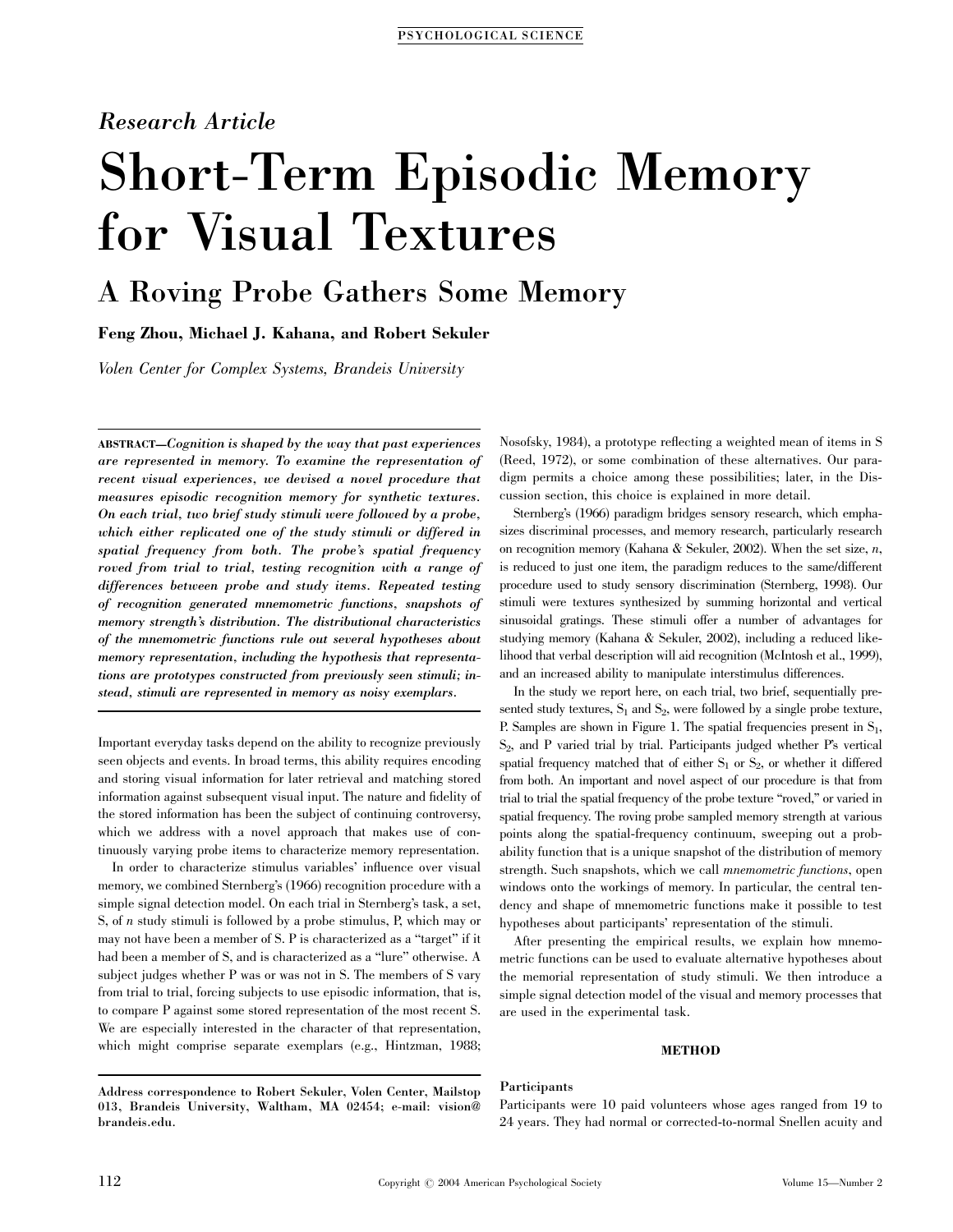# Research Article

# Short-Term Episodic Memory for Visual Textures

A Roving Probe Gathers Some Memory

Feng Zhou, Michael J. Kahana, and Robert Sekuler

Volen Center for Complex Systems, Brandeis University

ABSTRACT—Cognition is shaped by the way that past experiences are represented in memory. To examine the representation of recent visual experiences, we devised a novel procedure that measures episodic recognition memory for synthetic textures. On each trial, two brief study stimuli were followed by a probe, which either replicated one of the study stimuli or differed in spatial frequency from both. The probe's spatial frequency roved from trial to trial, testing recognition with a range of differences between probe and study items. Repeated testing of recognition generated mnemometric functions, snapshots of memory strength's distribution. The distributional characteristics of the mnemometric functions rule out several hypotheses about memory representation, including the hypothesis that representations are prototypes constructed from previously seen stimuli; instead, stimuli are represented in memory as noisy exemplars.

Important everyday tasks depend on the ability to recognize previously seen objects and events. In broad terms, this ability requires encoding and storing visual information for later retrieval and matching stored information against subsequent visual input. The nature and fidelity of the stored information has been the subject of continuing controversy, which we address with a novel approach that makes use of continuously varying probe items to characterize memory representation.

In order to characterize stimulus variables' influence over visual memory, we combined Sternberg's (1966) recognition procedure with a simple signal detection model. On each trial in Sternberg's task, a set, S, of n study stimuli is followed by a probe stimulus, P, which may or may not have been a member of S. P is characterized as a ''target'' if it had been a member of S, and is characterized as a ''lure'' otherwise. A subject judges whether P was or was not in S. The members of S vary from trial to trial, forcing subjects to use episodic information, that is, to compare P against some stored representation of the most recent S. We are especially interested in the character of that representation, which might comprise separate exemplars (e.g., Hintzman, 1988;

Nosofsky, 1984), a prototype reflecting a weighted mean of items in S (Reed, 1972), or some combination of these alternatives. Our paradigm permits a choice among these possibilities; later, in the Discussion section, this choice is explained in more detail.

Sternberg's (1966) paradigm bridges sensory research, which emphasizes discriminal processes, and memory research, particularly research on recognition memory (Kahana & Sekuler, 2002). When the set size,  $n$ , is reduced to just one item, the paradigm reduces to the same/different procedure used to study sensory discrimination (Sternberg, 1998). Our stimuli were textures synthesized by summing horizontal and vertical sinusoidal gratings. These stimuli offer a number of advantages for studying memory (Kahana & Sekuler, 2002), including a reduced likelihood that verbal description will aid recognition (McIntosh et al., 1999), and an increased ability to manipulate interstimulus differences.

In the study we report here, on each trial, two brief, sequentially presented study textures,  $S_1$  and  $S_2$ , were followed by a single probe texture, P. Samples are shown in Figure 1. The spatial frequencies present in  $S_1$ , S2, and P varied trial by trial. Participants judged whether P's vertical spatial frequency matched that of either  $S_1$  or  $S_2$ , or whether it differed from both. An important and novel aspect of our procedure is that from trial to trial the spatial frequency of the probe texture ''roved,'' or varied in spatial frequency. The roving probe sampled memory strength at various points along the spatial-frequency continuum, sweeping out a probability function that is a unique snapshot of the distribution of memory strength. Such snapshots, which we call mnemometric functions, open windows onto the workings of memory. In particular, the central tendency and shape of mnemometric functions make it possible to test hypotheses about participants' representation of the stimuli.

After presenting the empirical results, we explain how mnemometric functions can be used to evaluate alternative hypotheses about the memorial representation of study stimuli. We then introduce a simple signal detection model of the visual and memory processes that are used in the experimental task.

# METHOD

# Participants

Address correspondence to Robert Sekuler, Volen Center, Mailstop 013, Brandeis University, Waltham, MA 02454; e-mail: vision@ brandeis.edu.

Participants were 10 paid volunteers whose ages ranged from 19 to 24 years. They had normal or corrected-to-normal Snellen acuity and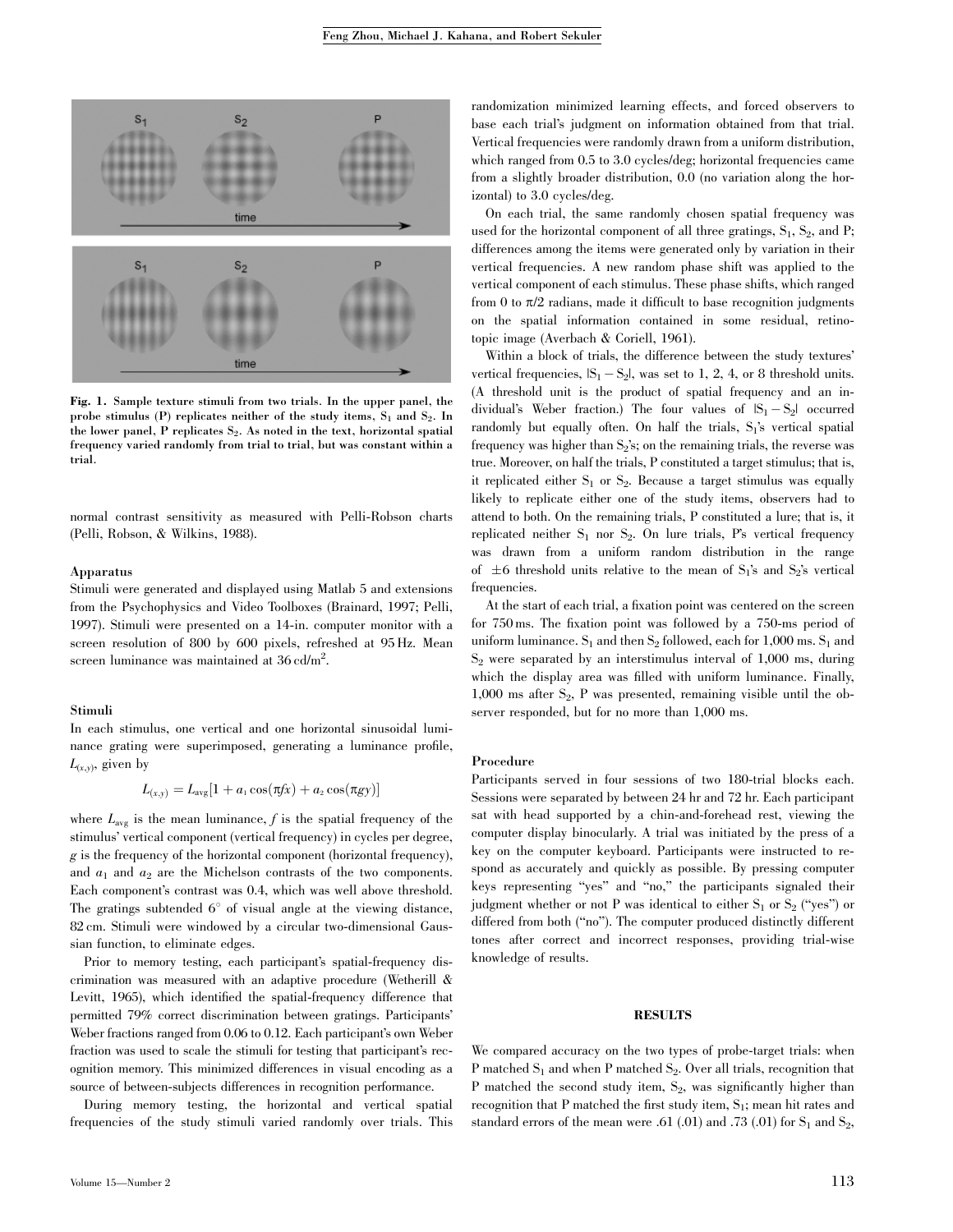

Fig. 1. Sample texture stimuli from two trials. In the upper panel, the probe stimulus (P) replicates neither of the study items,  $S_1$  and  $S_2$ . In the lower panel, P replicates  $S_2$ . As noted in the text, horizontal spatial frequency varied randomly from trial to trial, but was constant within a trial.

normal contrast sensitivity as measured with Pelli-Robson charts (Pelli, Robson, & Wilkins, 1988).

#### Apparatus

Stimuli were generated and displayed using Matlab 5 and extensions from the Psychophysics and Video Toolboxes (Brainard, 1997; Pelli, 1997). Stimuli were presented on a 14-in. computer monitor with a screen resolution of 800 by 600 pixels, refreshed at 95 Hz. Mean screen luminance was maintained at  $36 \text{ cd/m}^2$ .

# Stimuli

In each stimulus, one vertical and one horizontal sinusoidal luminance grating were superimposed, generating a luminance profile,  $L_{(x,y)}$ , given by

$$
L_{(x,y)} = L_{\text{avg}}[1 + a_1 \cos(\pi f x) + a_2 \cos(\pi g y)]
$$

where  $L_{\text{avg}}$  is the mean luminance, f is the spatial frequency of the stimulus' vertical component (vertical frequency) in cycles per degree, g is the frequency of the horizontal component (horizontal frequency), and  $a_1$  and  $a_2$  are the Michelson contrasts of the two components. Each component's contrast was 0.4, which was well above threshold. The gratings subtended  $6^{\circ}$  of visual angle at the viewing distance, 82 cm. Stimuli were windowed by a circular two-dimensional Gaussian function, to eliminate edges.

Prior to memory testing, each participant's spatial-frequency discrimination was measured with an adaptive procedure (Wetherill & Levitt, 1965), which identified the spatial-frequency difference that permitted 79% correct discrimination between gratings. Participants' Weber fractions ranged from 0.06 to 0.12. Each participant's own Weber fraction was used to scale the stimuli for testing that participant's recognition memory. This minimized differences in visual encoding as a source of between-subjects differences in recognition performance.

During memory testing, the horizontal and vertical spatial frequencies of the study stimuli varied randomly over trials. This

Volume 15—Number 2 113

randomization minimized learning effects, and forced observers to base each trial's judgment on information obtained from that trial. Vertical frequencies were randomly drawn from a uniform distribution, which ranged from 0.5 to 3.0 cycles/deg; horizontal frequencies came from a slightly broader distribution, 0.0 (no variation along the horizontal) to 3.0 cycles/deg.

On each trial, the same randomly chosen spatial frequency was used for the horizontal component of all three gratings,  $S_1$ ,  $S_2$ , and  $P$ ; differences among the items were generated only by variation in their vertical frequencies. A new random phase shift was applied to the vertical component of each stimulus. These phase shifts, which ranged from 0 to  $\pi/2$  radians, made it difficult to base recognition judgments on the spatial information contained in some residual, retinotopic image (Averbach & Coriell, 1961).

Within a block of trials, the difference between the study textures' vertical frequencies,  $|S_1 - S_2|$ , was set to 1, 2, 4, or 8 threshold units. (A threshold unit is the product of spatial frequency and an individual's Weber fraction.) The four values of  $|S_1 - S_2|$  occurred randomly but equally often. On half the trials, S<sub>1</sub>'s vertical spatial frequency was higher than  $S_2$ 's; on the remaining trials, the reverse was true. Moreover, on half the trials, P constituted a target stimulus; that is, it replicated either  $S_1$  or  $S_2$ . Because a target stimulus was equally likely to replicate either one of the study items, observers had to attend to both. On the remaining trials, P constituted a lure; that is, it replicated neither  $S_1$  nor  $S_2$ . On lure trials, P's vertical frequency was drawn from a uniform random distribution in the range of  $\pm 6$  threshold units relative to the mean of S<sub>1</sub>'s and S<sub>2</sub>'s vertical frequencies.

At the start of each trial, a fixation point was centered on the screen for 750 ms. The fixation point was followed by a 750-ms period of uniform luminance.  $S_1$  and then  $S_2$  followed, each for 1,000 ms.  $S_1$  and  $S_2$  were separated by an interstimulus interval of 1,000 ms, during which the display area was filled with uniform luminance. Finally,  $1,000$  ms after  $S_2$ , P was presented, remaining visible until the observer responded, but for no more than 1,000 ms.

#### Procedure

Participants served in four sessions of two 180-trial blocks each. Sessions were separated by between 24 hr and 72 hr. Each participant sat with head supported by a chin-and-forehead rest, viewing the computer display binocularly. A trial was initiated by the press of a key on the computer keyboard. Participants were instructed to respond as accurately and quickly as possible. By pressing computer keys representing ''yes'' and ''no,'' the participants signaled their judgment whether or not P was identical to either  $S_1$  or  $S_2$  ("yes") or differed from both (''no''). The computer produced distinctly different tones after correct and incorrect responses, providing trial-wise knowledge of results.

#### RESULTS

We compared accuracy on the two types of probe-target trials: when P matched  $S_1$  and when P matched  $S_2$ . Over all trials, recognition that P matched the second study item,  $S_2$ , was significantly higher than recognition that P matched the first study item,  $S_1$ ; mean hit rates and standard errors of the mean were .61 (.01) and .73 (.01) for  $S_1$  and  $S_2$ ,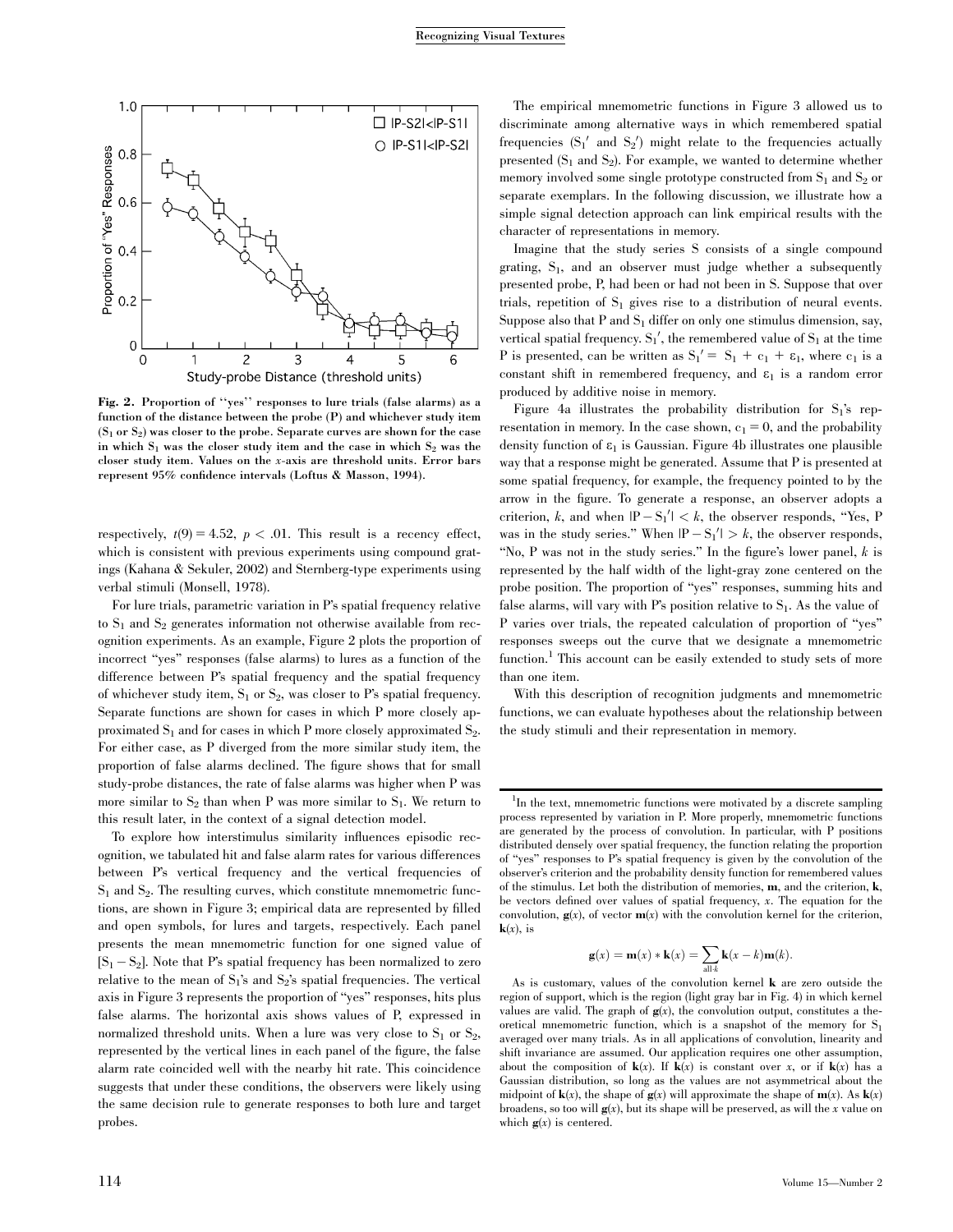

Fig. 2. Proportion of ''yes'' responses to lure trials (false alarms) as a function of the distance between the probe (P) and whichever study item  $(S_1 \text{ or } S_2)$  was closer to the probe. Separate curves are shown for the case in which  $S_1$  was the closer study item and the case in which  $S_2$  was the closer study item. Values on the x-axis are threshold units. Error bars represent 95% confidence intervals (Loftus & Masson, 1994).

respectively,  $t(9) = 4.52$ ,  $p < .01$ . This result is a recency effect, which is consistent with previous experiments using compound gratings (Kahana & Sekuler, 2002) and Sternberg-type experiments using verbal stimuli (Monsell, 1978).

For lure trials, parametric variation in P's spatial frequency relative to  $S_1$  and  $S_2$  generates information not otherwise available from recognition experiments. As an example, Figure 2 plots the proportion of incorrect ''yes'' responses (false alarms) to lures as a function of the difference between P's spatial frequency and the spatial frequency of whichever study item,  $S_1$  or  $S_2$ , was closer to P's spatial frequency. Separate functions are shown for cases in which P more closely approximated  $S_1$  and for cases in which P more closely approximated  $S_2$ . For either case, as P diverged from the more similar study item, the proportion of false alarms declined. The figure shows that for small study-probe distances, the rate of false alarms was higher when P was more similar to  $S_2$  than when P was more similar to  $S_1$ . We return to this result later, in the context of a signal detection model.

To explore how interstimulus similarity influences episodic recognition, we tabulated hit and false alarm rates for various differences between P's vertical frequency and the vertical frequencies of  $S_1$  and  $S_2$ . The resulting curves, which constitute mnemometric functions, are shown in Figure 3; empirical data are represented by filled and open symbols, for lures and targets, respectively. Each panel presents the mean mnemometric function for one signed value of  $[S_1 - S_2]$ . Note that P's spatial frequency has been normalized to zero relative to the mean of  $S_1$ 's and  $S_2$ 's spatial frequencies. The vertical axis in Figure 3 represents the proportion of ''yes'' responses, hits plus false alarms. The horizontal axis shows values of P, expressed in normalized threshold units. When a lure was very close to  $S_1$  or  $S_2$ , represented by the vertical lines in each panel of the figure, the false alarm rate coincided well with the nearby hit rate. This coincidence suggests that under these conditions, the observers were likely using the same decision rule to generate responses to both lure and target probes.

The empirical mnemometric functions in Figure 3 allowed us to discriminate among alternative ways in which remembered spatial frequencies  $(S_1'$  and  $S_2'$ ) might relate to the frequencies actually presented  $(S_1 \text{ and } S_2)$ . For example, we wanted to determine whether memory involved some single prototype constructed from  $S_1$  and  $S_2$  or separate exemplars. In the following discussion, we illustrate how a simple signal detection approach can link empirical results with the character of representations in memory.

Imagine that the study series S consists of a single compound grating,  $S_1$ , and an observer must judge whether a subsequently presented probe, P, had been or had not been in S. Suppose that over trials, repetition of  $S_1$  gives rise to a distribution of neural events. Suppose also that  $P$  and  $S_1$  differ on only one stimulus dimension, say, vertical spatial frequency.  $S_1'$ , the remembered value of  $S_1$  at the time P is presented, can be written as  $S_1' = S_1 + c_1 + \varepsilon_1$ , where  $c_1$  is a constant shift in remembered frequency, and  $\varepsilon_1$  is a random error produced by additive noise in memory.

Figure 4a illustrates the probability distribution for  $S_1$ 's representation in memory. In the case shown,  $c_1 = 0$ , and the probability density function of  $\varepsilon_1$  is Gaussian. Figure 4b illustrates one plausible way that a response might be generated. Assume that P is presented at some spatial frequency, for example, the frequency pointed to by the arrow in the figure. To generate a response, an observer adopts a criterion, k, and when  $|P - S_1'| < k$ , the observer responds, "Yes, P was in the study series." When  $|P - S_1'| > k$ , the observer responds, "No, P was not in the study series." In the figure's lower panel,  $k$  is represented by the half width of the light-gray zone centered on the probe position. The proportion of ''yes'' responses, summing hits and false alarms, will vary with P's position relative to  $S_1$ . As the value of P varies over trials, the repeated calculation of proportion of ''yes'' responses sweeps out the curve that we designate a mnemometric function.<sup>1</sup> This account can be easily extended to study sets of more than one item.

With this description of recognition judgments and mnemometric functions, we can evaluate hypotheses about the relationship between the study stimuli and their representation in memory.

$$
\mathbf{g}(x) = \mathbf{m}(x) * \mathbf{k}(x) = \sum_{\text{all-}k} \mathbf{k}(x - k) \mathbf{m}(k).
$$

As is customary, values of the convolution kernel **k** are zero outside the region of support, which is the region (light gray bar in Fig. 4) in which kernel values are valid. The graph of  $g(x)$ , the convolution output, constitutes a theoretical mnemometric function, which is a snapshot of the memory for  $S_1$ averaged over many trials. As in all applications of convolution, linearity and shift invariance are assumed. Our application requires one other assumption, about the composition of  $\mathbf{k}(x)$ . If  $\mathbf{k}(x)$  is constant over x, or if  $\mathbf{k}(x)$  has a Gaussian distribution, so long as the values are not asymmetrical about the midpoint of  $\mathbf{k}(x)$ , the shape of  $\mathbf{g}(x)$  will approximate the shape of  $\mathbf{m}(x)$ . As  $\mathbf{k}(x)$ broadens, so too will  $g(x)$ , but its shape will be preserved, as will the x value on which  $g(x)$  is centered.

<sup>&</sup>lt;sup>1</sup>In the text, mnemometric functions were motivated by a discrete sampling process represented by variation in P. More properly, mnemometric functions are generated by the process of convolution. In particular, with P positions distributed densely over spatial frequency, the function relating the proportion of ''yes'' responses to P's spatial frequency is given by the convolution of the observer's criterion and the probability density function for remembered values of the stimulus. Let both the distribution of memories,  $\mathbf{m}$ , and the criterion,  $\mathbf{k}$ , be vectors defined over values of spatial frequency, x. The equation for the convolution,  $g(x)$ , of vector  $m(x)$  with the convolution kernel for the criterion,  $\mathbf{k}(x)$ , is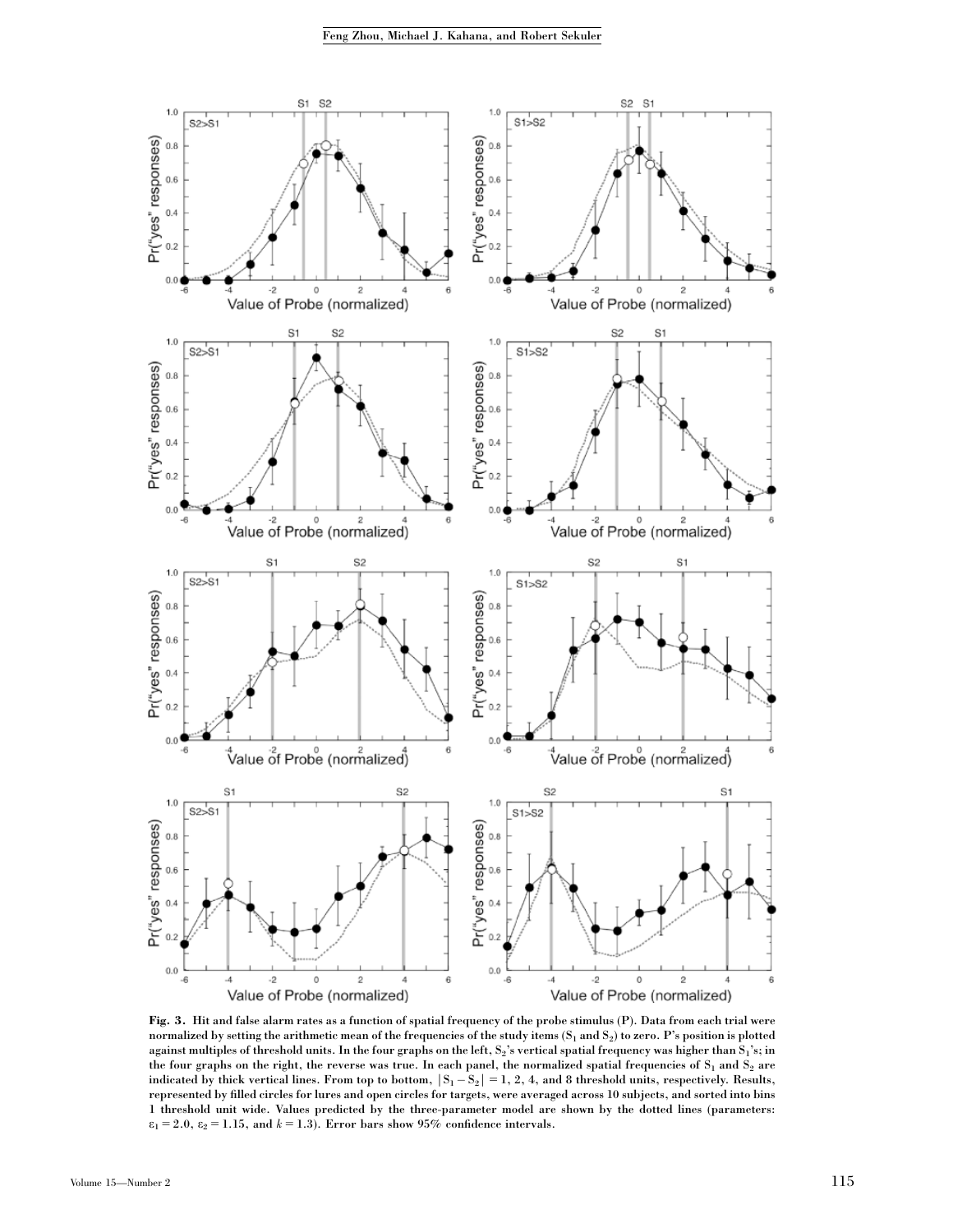

Fig. 3. Hit and false alarm rates as a function of spatial frequency of the probe stimulus (P). Data from each trial were normalized by setting the arithmetic mean of the frequencies of the study items  $(S_1$  and  $S_2)$  to zero. P's position is plotted against multiples of threshold units. In the four graphs on the left, S<sub>2</sub>'s vertical spatial frequency was higher than S<sub>1</sub>'s; in the four graphs on the right, the reverse was true. In each panel, the normalized spatial frequencies of  $S_1$  and  $S_2$  are indicated by thick vertical lines. From top to bottom,  $|S_1 - S_2| = 1, 2, 4$ , and 8 threshold units, respectively. Results, represented by filled circles for lures and open circles for targets, were averaged across 10 subjects, and sorted into bins 1 threshold unit wide. Values predicted by the three-parameter model are shown by the dotted lines (parameters:  $\varepsilon_1 = 2.0$ ,  $\varepsilon_2 = 1.15$ , and  $k = 1.3$ ). Error bars show 95% confidence intervals.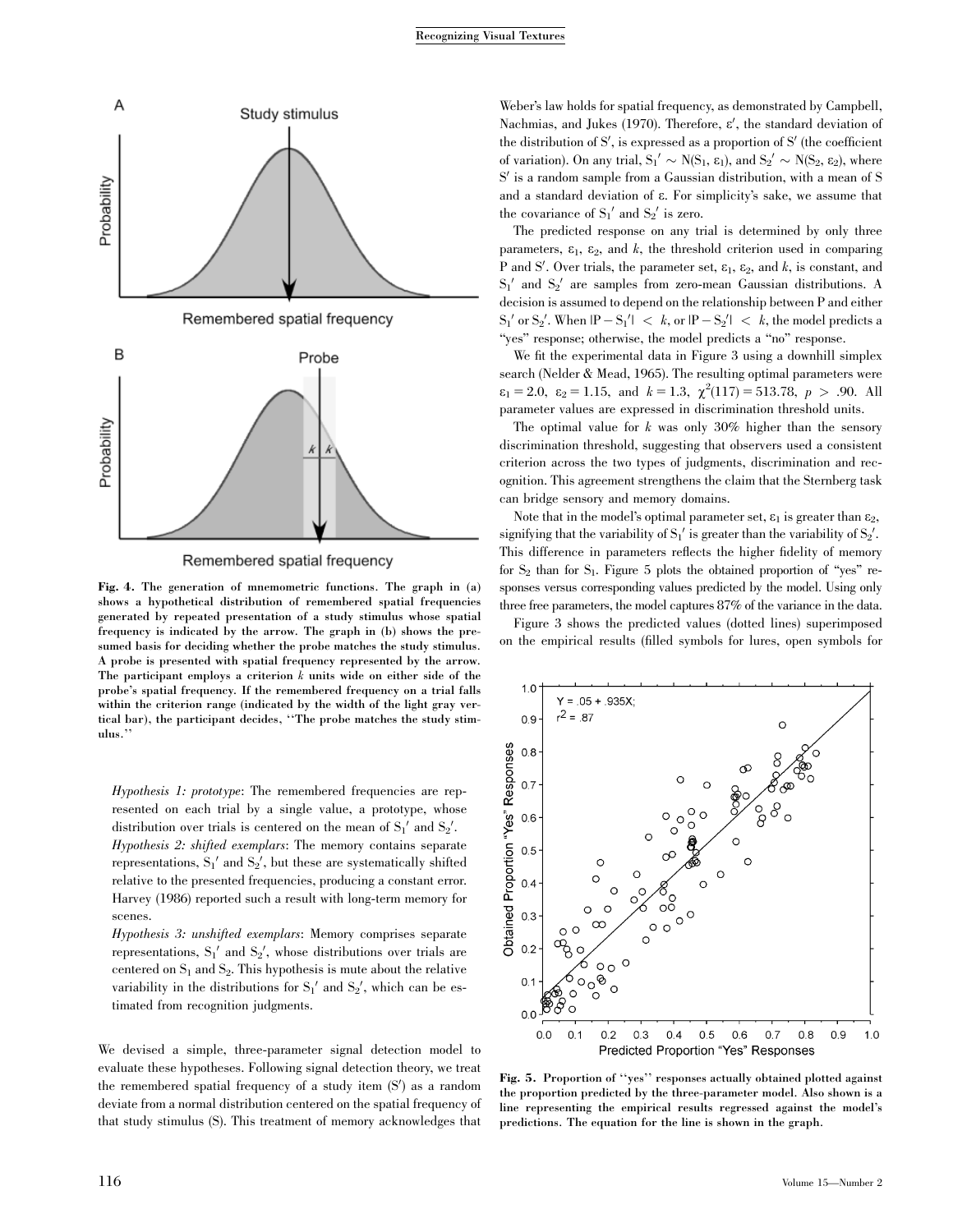

Remembered spatial frequency

Fig. 4. The generation of mnemometric functions. The graph in (a) shows a hypothetical distribution of remembered spatial frequencies generated by repeated presentation of a study stimulus whose spatial frequency is indicated by the arrow. The graph in (b) shows the presumed basis for deciding whether the probe matches the study stimulus. A probe is presented with spatial frequency represented by the arrow. The participant employs a criterion  $k$  units wide on either side of the probe's spatial frequency. If the remembered frequency on a trial falls within the criterion range (indicated by the width of the light gray vertical bar), the participant decides, ''The probe matches the study stimulus.''

Hypothesis 1: prototype: The remembered frequencies are represented on each trial by a single value, a prototype, whose distribution over trials is centered on the mean of  $S_1'$  and  $S_2'$ . Hypothesis 2: shifted exemplars: The memory contains separate representations,  $S_1'$  and  $S_2'$ , but these are systematically shifted relative to the presented frequencies, producing a constant error.

Harvey (1986) reported such a result with long-term memory for scenes.

Hypothesis 3: unshifted exemplars: Memory comprises separate representations,  $S_1'$  and  $S_2'$ , whose distributions over trials are centered on  $S_1$  and  $S_2$ . This hypothesis is mute about the relative variability in the distributions for  $S_1'$  and  $S_2'$ , which can be estimated from recognition judgments.

We devised a simple, three-parameter signal detection model to evaluate these hypotheses. Following signal detection theory, we treat the remembered spatial frequency of a study item  $(S')$  as a random deviate from a normal distribution centered on the spatial frequency of that study stimulus (S). This treatment of memory acknowledges that

Weber's law holds for spatial frequency, as demonstrated by Campbell, Nachmias, and Jukes (1970). Therefore,  $\varepsilon'$ , the standard deviation of the distribution of S', is expressed as a proportion of S' (the coefficient of variation). On any trial,  $S'_1 \sim N(S_1, \epsilon_1)$ , and  $S'_2 \sim N(S_2, \epsilon_2)$ , where  $S'$  is a random sample from a Gaussian distribution, with a mean of  $S$ and a standard deviation of e. For simplicity's sake, we assume that the covariance of  $S_1'$  and  $S_2'$  is zero.

The predicted response on any trial is determined by only three parameters,  $\varepsilon_1$ ,  $\varepsilon_2$ , and k, the threshold criterion used in comparing P and S'. Over trials, the parameter set,  $\varepsilon_1$ ,  $\varepsilon_2$ , and k, is constant, and  $S_1'$  and  $S_2'$  are samples from zero-mean Gaussian distributions. A decision is assumed to depend on the relationship between P and either  $\mathrm{S}_1'$  or  $\mathrm{S}_2'.$  When  $\mathrm{IP-S}_1'$  |  $\,<\,k,$  or  $\mathrm{IP-S}_2'$  |  $\,<\,k,$  the model predicts a "yes" response; otherwise, the model predicts a "no" response.

We fit the experimental data in Figure 3 using a downhill simplex search (Nelder & Mead, 1965). The resulting optimal parameters were  $\varepsilon_1 = 2.0, \varepsilon_2 = 1.15, \text{ and } k = 1.3, \chi^2(117) = 513.78, p > .90. \text{ All}$ parameter values are expressed in discrimination threshold units.

The optimal value for  $k$  was only 30% higher than the sensory discrimination threshold, suggesting that observers used a consistent criterion across the two types of judgments, discrimination and recognition. This agreement strengthens the claim that the Sternberg task can bridge sensory and memory domains.

Note that in the model's optimal parameter set,  $\varepsilon_1$  is greater than  $\varepsilon_2$ , signifying that the variability of  $S_1'$  is greater than the variability of  $S_2'$ . This difference in parameters reflects the higher fidelity of memory for  $S_2$  than for  $S_1$ . Figure 5 plots the obtained proportion of "yes" responses versus corresponding values predicted by the model. Using only three free parameters, the model captures 87% of the variance in the data.

Figure 3 shows the predicted values (dotted lines) superimposed on the empirical results (filled symbols for lures, open symbols for



Fig. 5. Proportion of ''yes'' responses actually obtained plotted against the proportion predicted by the three-parameter model. Also shown is a line representing the empirical results regressed against the model's predictions. The equation for the line is shown in the graph.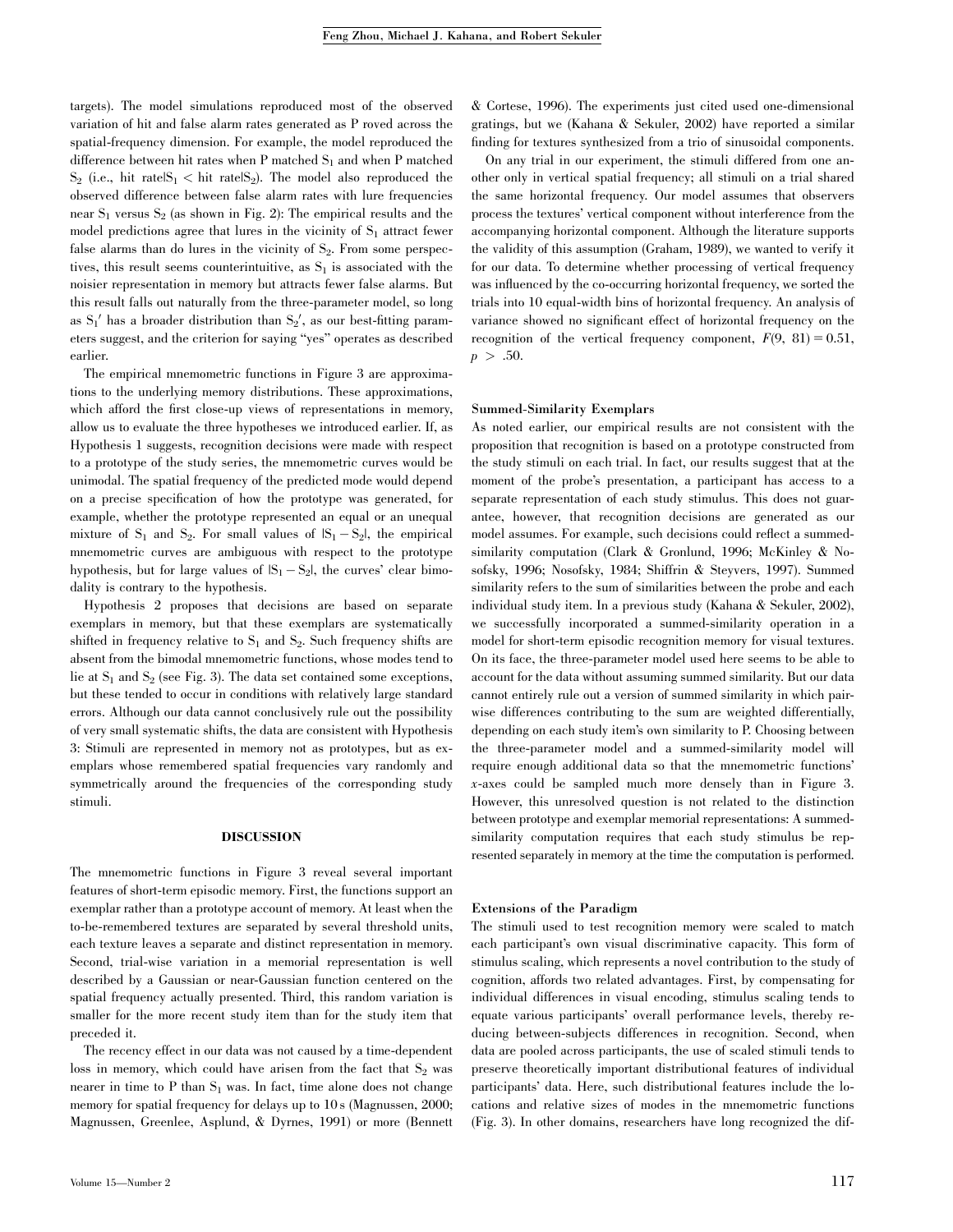targets). The model simulations reproduced most of the observed variation of hit and false alarm rates generated as P roved across the spatial-frequency dimension. For example, the model reproduced the difference between hit rates when P matched  $S_1$  and when P matched  $S_2$  (i.e., hit rate $S_1$  < hit rate $S_2$ ). The model also reproduced the observed difference between false alarm rates with lure frequencies near  $S_1$  versus  $S_2$  (as shown in Fig. 2): The empirical results and the model predictions agree that lures in the vicinity of  $S_1$  attract fewer false alarms than do lures in the vicinity of  $S_2$ . From some perspectives, this result seems counterintuitive, as  $S_1$  is associated with the noisier representation in memory but attracts fewer false alarms. But this result falls out naturally from the three-parameter model, so long as  $S_1'$  has a broader distribution than  $S_2'$ , as our best-fitting parameters suggest, and the criterion for saying ''yes'' operates as described earlier.

The empirical mnemometric functions in Figure 3 are approximations to the underlying memory distributions. These approximations, which afford the first close-up views of representations in memory, allow us to evaluate the three hypotheses we introduced earlier. If, as Hypothesis 1 suggests, recognition decisions were made with respect to a prototype of the study series, the mnemometric curves would be unimodal. The spatial frequency of the predicted mode would depend on a precise specification of how the prototype was generated, for example, whether the prototype represented an equal or an unequal mixture of  $S_1$  and  $S_2$ . For small values of  $|S_1 - S_2|$ , the empirical mnemometric curves are ambiguous with respect to the prototype hypothesis, but for large values of  $|S_1 - S_2|$ , the curves' clear bimodality is contrary to the hypothesis.

Hypothesis 2 proposes that decisions are based on separate exemplars in memory, but that these exemplars are systematically shifted in frequency relative to  $S_1$  and  $S_2$ . Such frequency shifts are absent from the bimodal mnemometric functions, whose modes tend to lie at  $S_1$  and  $S_2$  (see Fig. 3). The data set contained some exceptions, but these tended to occur in conditions with relatively large standard errors. Although our data cannot conclusively rule out the possibility of very small systematic shifts, the data are consistent with Hypothesis 3: Stimuli are represented in memory not as prototypes, but as exemplars whose remembered spatial frequencies vary randomly and symmetrically around the frequencies of the corresponding study stimuli.

### DISCUSSION

The mnemometric functions in Figure 3 reveal several important features of short-term episodic memory. First, the functions support an exemplar rather than a prototype account of memory. At least when the to-be-remembered textures are separated by several threshold units, each texture leaves a separate and distinct representation in memory. Second, trial-wise variation in a memorial representation is well described by a Gaussian or near-Gaussian function centered on the spatial frequency actually presented. Third, this random variation is smaller for the more recent study item than for the study item that preceded it.

The recency effect in our data was not caused by a time-dependent loss in memory, which could have arisen from the fact that  $S_2$  was nearer in time to P than  $S_1$  was. In fact, time alone does not change memory for spatial frequency for delays up to 10 s (Magnussen, 2000; Magnussen, Greenlee, Asplund, & Dyrnes, 1991) or more (Bennett

gratings, but we (Kahana & Sekuler, 2002) have reported a similar finding for textures synthesized from a trio of sinusoidal components.

On any trial in our experiment, the stimuli differed from one another only in vertical spatial frequency; all stimuli on a trial shared the same horizontal frequency. Our model assumes that observers process the textures' vertical component without interference from the accompanying horizontal component. Although the literature supports the validity of this assumption (Graham, 1989), we wanted to verify it for our data. To determine whether processing of vertical frequency was influenced by the co-occurring horizontal frequency, we sorted the trials into 10 equal-width bins of horizontal frequency. An analysis of variance showed no significant effect of horizontal frequency on the recognition of the vertical frequency component,  $F(9, 81) = 0.51$ ,  $p > .50.$ 

& Cortese, 1996). The experiments just cited used one-dimensional

#### Summed-Similarity Exemplars

As noted earlier, our empirical results are not consistent with the proposition that recognition is based on a prototype constructed from the study stimuli on each trial. In fact, our results suggest that at the moment of the probe's presentation, a participant has access to a separate representation of each study stimulus. This does not guarantee, however, that recognition decisions are generated as our model assumes. For example, such decisions could reflect a summedsimilarity computation (Clark & Gronlund, 1996; McKinley & Nosofsky, 1996; Nosofsky, 1984; Shiffrin & Steyvers, 1997). Summed similarity refers to the sum of similarities between the probe and each individual study item. In a previous study (Kahana & Sekuler, 2002), we successfully incorporated a summed-similarity operation in a model for short-term episodic recognition memory for visual textures. On its face, the three-parameter model used here seems to be able to account for the data without assuming summed similarity. But our data cannot entirely rule out a version of summed similarity in which pairwise differences contributing to the sum are weighted differentially, depending on each study item's own similarity to P. Choosing between the three-parameter model and a summed-similarity model will require enough additional data so that the mnemometric functions' x-axes could be sampled much more densely than in Figure 3. However, this unresolved question is not related to the distinction between prototype and exemplar memorial representations: A summedsimilarity computation requires that each study stimulus be represented separately in memory at the time the computation is performed.

# Extensions of the Paradigm

The stimuli used to test recognition memory were scaled to match each participant's own visual discriminative capacity. This form of stimulus scaling, which represents a novel contribution to the study of cognition, affords two related advantages. First, by compensating for individual differences in visual encoding, stimulus scaling tends to equate various participants' overall performance levels, thereby reducing between-subjects differences in recognition. Second, when data are pooled across participants, the use of scaled stimuli tends to preserve theoretically important distributional features of individual participants' data. Here, such distributional features include the locations and relative sizes of modes in the mnemometric functions (Fig. 3). In other domains, researchers have long recognized the dif